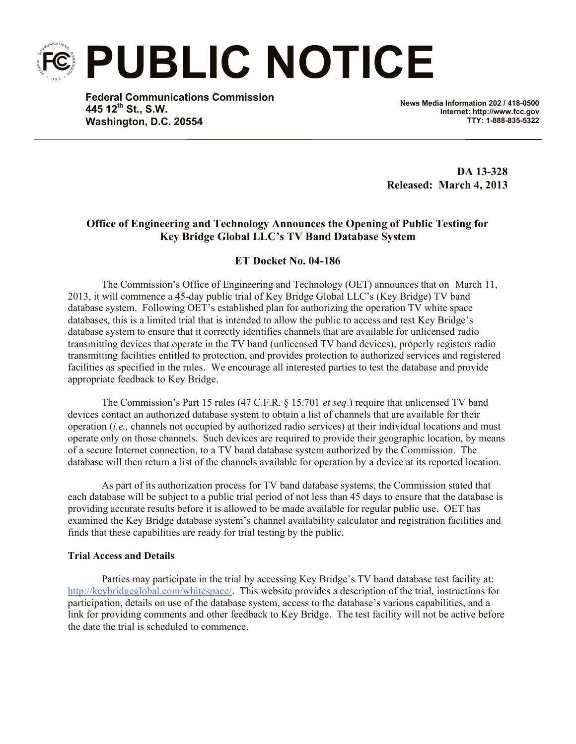**PUBLIC NOTICE**

**Federal Communications Commission 445 12th St., S.W. Washington, D.C. 20554**

**News Media Information 202 / 418-0500 Internet: http://www.fcc.gov TTY: 1-888-835-5322**

**DA 13-328 Released: March 4, 2013**

## **Office of Engineering and Technology Announces the Opening of Public Testing for Key Bridge Global LLC's TV Band Database System**

## **ET Docket No. 04-186**

The Commission's Office of Engineering and Technology (OET) announces that on March 11, 2013, it will commence a 45-day public trial of Key Bridge Global LLC's (Key Bridge) TV band database system. Following OET's established plan for authorizing the operation TV white space databases, this is a limited trial that is intended to allow the public to access and test Key Bridge's database system to ensure that it correctly identifies channels that are available for unlicensed radio transmitting devices that operate in the TV band (unlicensed TV band devices), properly registers radio transmitting facilities entitled to protection, and provides protection to authorized services and registered facilities as specified in the rules. We encourage all interested parties to test the database and provide appropriate feedback to Key Bridge.

The Commission's Part 15 rules (47 C.F.R. § 15.701 *et seq*.) require that unlicensed TV band devices contact an authorized database system to obtain a list of channels that are available for their operation (*i.e.,* channels not occupied by authorized radio services) at their individual locations and must operate only on those channels. Such devices are required to provide their geographic location, by means of a secure Internet connection, to a TV band database system authorized by the Commission. The database will then return a list of the channels available for operation by a device at its reported location.

As part of its authorization process for TV band database systems, the Commission stated that each database will be subject to a public trial period of not less than 45 days to ensure that the database is providing accurate results before it is allowed to be made available for regular public use. OET has examined the Key Bridge database system's channel availability calculator and registration facilities and finds that these capabilities are ready for trial testing by the public.

## **Trial Access and Details**

Parties may participate in the trial by accessing Key Bridge's TV band database test facility at: http://keybridgeglobal.com/whitespace/. This website provides a description of the trial, instructions for participation, details on use of the database system, access to the database's various capabilities, and a link for providing comments and other feedback to Key Bridge. The test facility will not be active before the date the trial is scheduled to commence.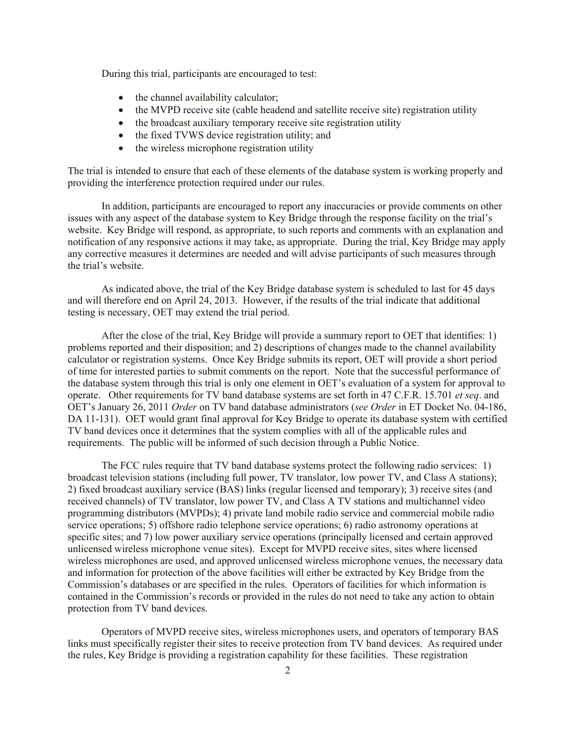During this trial, participants are encouraged to test:

- the channel availability calculator;
- the MVPD receive site (cable headend and satellite receive site) registration utility
- the broadcast auxiliary temporary receive site registration utility
- the fixed TVWS device registration utility; and
- the wireless microphone registration utility

The trial is intended to ensure that each of these elements of the database system is working properly and providing the interference protection required under our rules.

In addition, participants are encouraged to report any inaccuracies or provide comments on other issues with any aspect of the database system to Key Bridge through the response facility on the trial's website. Key Bridge will respond, as appropriate, to such reports and comments with an explanation and notification of any responsive actions it may take, as appropriate. During the trial, Key Bridge may apply any corrective measures it determines are needed and will advise participants of such measures through the trial's website.

As indicated above, the trial of the Key Bridge database system is scheduled to last for 45 days and will therefore end on April 24, 2013. However, if the results of the trial indicate that additional testing is necessary, OET may extend the trial period.

After the close of the trial, Key Bridge will provide a summary report to OET that identifies: 1) problems reported and their disposition; and 2) descriptions of changes made to the channel availability calculator or registration systems. Once Key Bridge submits its report, OET will provide a short period of time for interested parties to submit comments on the report. Note that the successful performance of the database system through this trial is only one element in OET's evaluation of a system for approval to operate. Other requirements for TV band database systems are set forth in 47 C.F.R. 15.701 *et seq*. and OET's January 26, 2011 *Order* on TV band database administrators (*see Order* in ET Docket No. 04-186, DA 11-131). OET would grant final approval for Key Bridge to operate its database system with certified TV band devices once it determines that the system complies with all of the applicable rules and requirements. The public will be informed of such decision through a Public Notice.

The FCC rules require that TV band database systems protect the following radio services: 1) broadcast television stations (including full power, TV translator, low power TV, and Class A stations); 2) fixed broadcast auxiliary service (BAS) links (regular licensed and temporary); 3) receive sites (and received channels) of TV translator, low power TV, and Class A TV stations and multichannel video programming distributors (MVPDs); 4) private land mobile radio service and commercial mobile radio service operations; 5) offshore radio telephone service operations; 6) radio astronomy operations at specific sites; and 7) low power auxiliary service operations (principally licensed and certain approved unlicensed wireless microphone venue sites). Except for MVPD receive sites, sites where licensed wireless microphones are used, and approved unlicensed wireless microphone venues, the necessary data and information for protection of the above facilities will either be extracted by Key Bridge from the Commission's databases or are specified in the rules. Operators of facilities for which information is contained in the Commission's records or provided in the rules do not need to take any action to obtain protection from TV band devices.

Operators of MVPD receive sites, wireless microphones users, and operators of temporary BAS links must specifically register their sites to receive protection from TV band devices. As required under the rules, Key Bridge is providing a registration capability for these facilities. These registration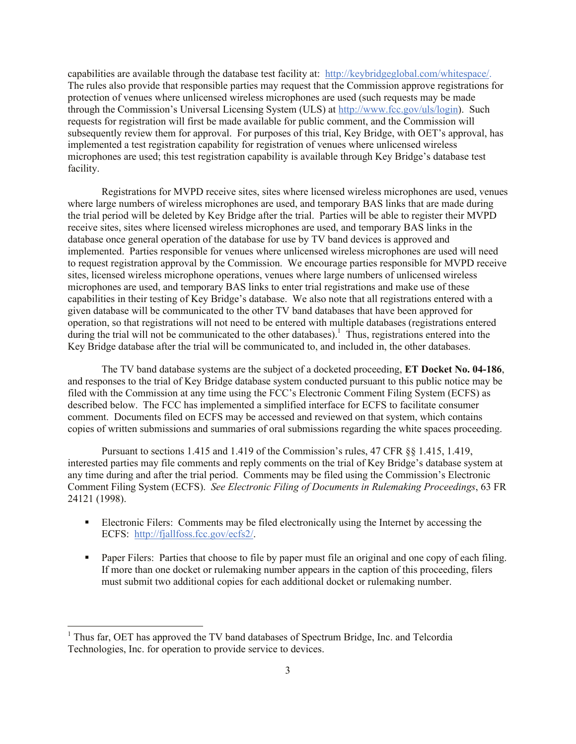capabilities are available through the database test facility at: http://keybridgeglobal.com/whitespace/. The rules also provide that responsible parties may request that the Commission approve registrations for protection of venues where unlicensed wireless microphones are used (such requests may be made through the Commission's Universal Licensing System (ULS) at http://www.fcc.gov/uls/login). Such requests for registration will first be made available for public comment, and the Commission will subsequently review them for approval. For purposes of this trial, Key Bridge, with OET's approval, has implemented a test registration capability for registration of venues where unlicensed wireless microphones are used; this test registration capability is available through Key Bridge's database test facility.

Registrations for MVPD receive sites, sites where licensed wireless microphones are used, venues where large numbers of wireless microphones are used, and temporary BAS links that are made during the trial period will be deleted by Key Bridge after the trial. Parties will be able to register their MVPD receive sites, sites where licensed wireless microphones are used, and temporary BAS links in the database once general operation of the database for use by TV band devices is approved and implemented. Parties responsible for venues where unlicensed wireless microphones are used will need to request registration approval by the Commission. We encourage parties responsible for MVPD receive sites, licensed wireless microphone operations, venues where large numbers of unlicensed wireless microphones are used, and temporary BAS links to enter trial registrations and make use of these capabilities in their testing of Key Bridge's database. We also note that all registrations entered with a given database will be communicated to the other TV band databases that have been approved for operation, so that registrations will not need to be entered with multiple databases (registrations entered during the trial will not be communicated to the other databases).<sup>1</sup> Thus, registrations entered into the Key Bridge database after the trial will be communicated to, and included in, the other databases.

The TV band database systems are the subject of a docketed proceeding, **ET Docket No. 04-186**, and responses to the trial of Key Bridge database system conducted pursuant to this public notice may be filed with the Commission at any time using the FCC's Electronic Comment Filing System (ECFS) as described below. The FCC has implemented a simplified interface for ECFS to facilitate consumer comment. Documents filed on ECFS may be accessed and reviewed on that system, which contains copies of written submissions and summaries of oral submissions regarding the white spaces proceeding.

Pursuant to sections 1.415 and 1.419 of the Commission's rules, 47 CFR §§ 1.415, 1.419, interested parties may file comments and reply comments on the trial of Key Bridge's database system at any time during and after the trial period. Comments may be filed using the Commission's Electronic Comment Filing System (ECFS). *See Electronic Filing of Documents in Rulemaking Proceedings*, 63 FR 24121 (1998).

- Electronic Filers: Comments may be filed electronically using the Internet by accessing the ECFS: http://fjallfoss.fcc.gov/ecfs2/.
- Paper Filers: Parties that choose to file by paper must file an original and one copy of each filing. If more than one docket or rulemaking number appears in the caption of this proceeding, filers must submit two additional copies for each additional docket or rulemaking number.

l

<sup>&</sup>lt;sup>1</sup> Thus far. OET has approved the TV band databases of Spectrum Bridge, Inc. and Telcordia Technologies, Inc. for operation to provide service to devices.